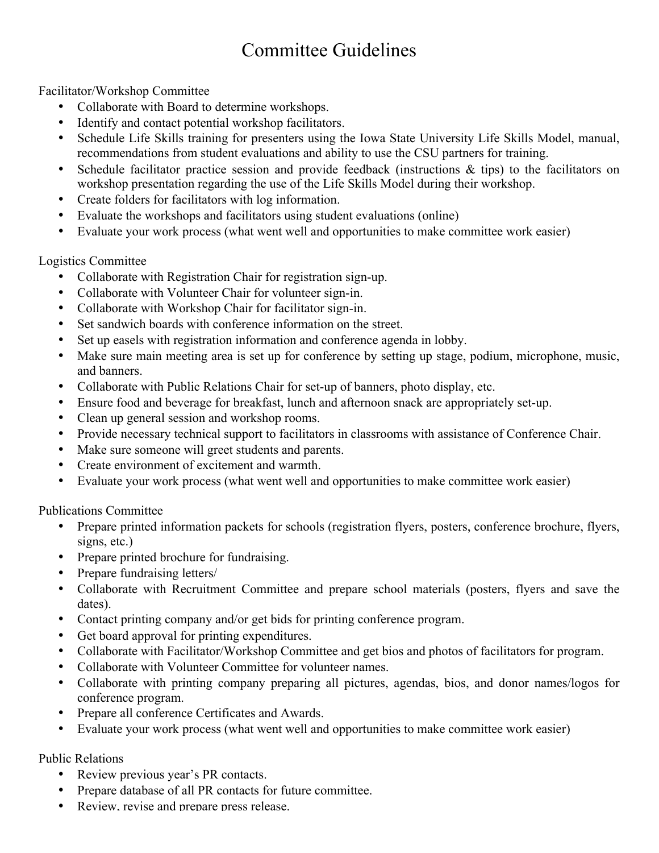## Committee Guidelines

Facilitator/Workshop Committee

- Collaborate with Board to determine workshops.
- Identify and contact potential workshop facilitators.
- Schedule Life Skills training for presenters using the Iowa State University Life Skills Model, manual, recommendations from student evaluations and ability to use the CSU partners for training.
- Schedule facilitator practice session and provide feedback (instructions & tips) to the facilitators on workshop presentation regarding the use of the Life Skills Model during their workshop.
- Create folders for facilitators with log information.
- Evaluate the workshops and facilitators using student evaluations (online)
- Evaluate your work process (what went well and opportunities to make committee work easier)

## Logistics Committee

- Collaborate with Registration Chair for registration sign-up.
- Collaborate with Volunteer Chair for volunteer sign-in.
- Collaborate with Workshop Chair for facilitator sign-in.
- Set sandwich boards with conference information on the street.
- Set up easels with registration information and conference agenda in lobby.
- Make sure main meeting area is set up for conference by setting up stage, podium, microphone, music, and banners.
- Collaborate with Public Relations Chair for set-up of banners, photo display, etc.
- Ensure food and beverage for breakfast, lunch and afternoon snack are appropriately set-up.
- Clean up general session and workshop rooms.
- Provide necessary technical support to facilitators in classrooms with assistance of Conference Chair.
- Make sure someone will greet students and parents.
- Create environment of excitement and warmth.
- Evaluate your work process (what went well and opportunities to make committee work easier)

Publications Committee

- Prepare printed information packets for schools (registration flyers, posters, conference brochure, flyers, signs, etc.)
- Prepare printed brochure for fundraising.
- Prepare fundraising letters/
- Collaborate with Recruitment Committee and prepare school materials (posters, flyers and save the dates).
- Contact printing company and/or get bids for printing conference program.
- Get board approval for printing expenditures.
- Collaborate with Facilitator/Workshop Committee and get bios and photos of facilitators for program.
- Collaborate with Volunteer Committee for volunteer names.
- Collaborate with printing company preparing all pictures, agendas, bios, and donor names/logos for conference program.
- Prepare all conference Certificates and Awards.
- Evaluate your work process (what went well and opportunities to make committee work easier)

Public Relations

- Review previous year's PR contacts.
- Prepare database of all PR contacts for future committee.
- Review, revise and prepare press release.